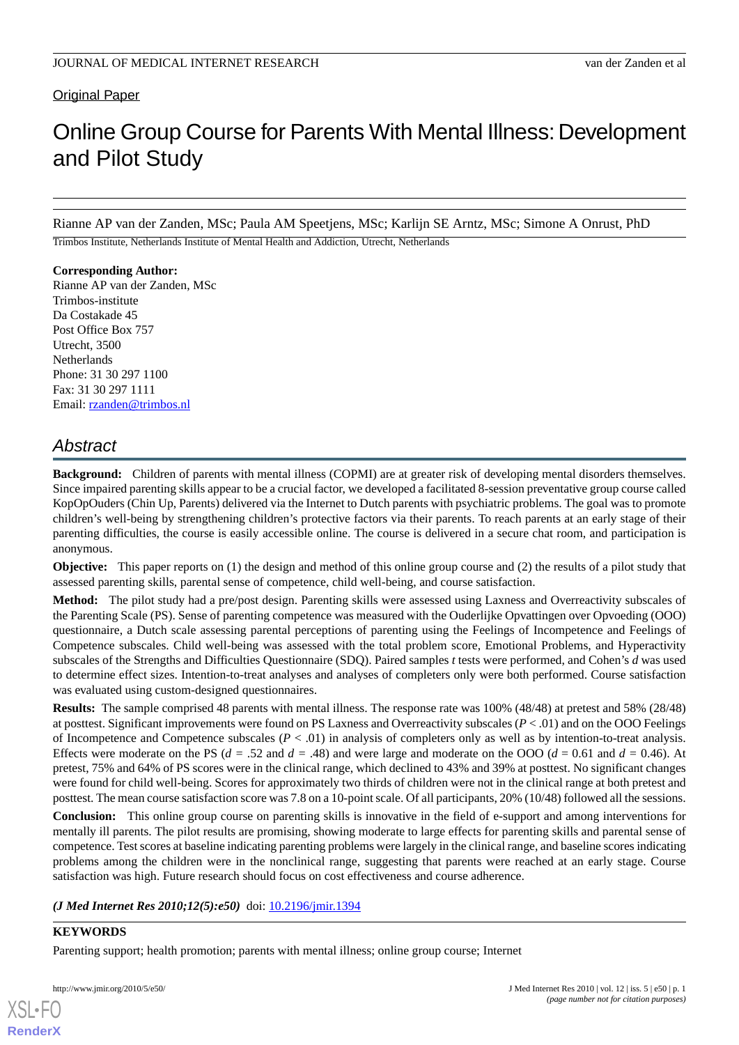Original Paper

# Online Group Course for Parents With Mental Illness: Development and Pilot Study

Rianne AP van der Zanden, MSc; Paula AM Speetjens, MSc; Karlijn SE Arntz, MSc; Simone A Onrust, PhD

Trimbos Institute, Netherlands Institute of Mental Health and Addiction, Utrecht, Netherlands

### **Corresponding Author:**

Rianne AP van der Zanden, MSc Trimbos-institute Da Costakade 45 Post Office Box 757 Utrecht, 3500 **Netherlands** Phone: 31 30 297 1100 Fax: 31 30 297 1111 Email: [rzanden@trimbos.nl](mailto:rzanden@trimbos.nl)

# *Abstract*

**Background:** Children of parents with mental illness (COPMI) are at greater risk of developing mental disorders themselves. Since impaired parenting skills appear to be a crucial factor, we developed a facilitated 8-session preventative group course called KopOpOuders (Chin Up, Parents) delivered via the Internet to Dutch parents with psychiatric problems. The goal was to promote children's well-being by strengthening children's protective factors via their parents. To reach parents at an early stage of their parenting difficulties, the course is easily accessible online. The course is delivered in a secure chat room, and participation is anonymous.

**Objective:** This paper reports on (1) the design and method of this online group course and (2) the results of a pilot study that assessed parenting skills, parental sense of competence, child well-being, and course satisfaction.

**Method:** The pilot study had a pre/post design. Parenting skills were assessed using Laxness and Overreactivity subscales of the Parenting Scale (PS). Sense of parenting competence was measured with the Ouderlijke Opvattingen over Opvoeding (OOO) questionnaire, a Dutch scale assessing parental perceptions of parenting using the Feelings of Incompetence and Feelings of Competence subscales. Child well-being was assessed with the total problem score, Emotional Problems, and Hyperactivity subscales of the Strengths and Difficulties Questionnaire (SDQ). Paired samples *t* tests were performed, and Cohen's *d* was used to determine effect sizes. Intention-to-treat analyses and analyses of completers only were both performed. Course satisfaction was evaluated using custom-designed questionnaires.

**Results:** The sample comprised 48 parents with mental illness. The response rate was 100% (48/48) at pretest and 58% (28/48) at posttest. Significant improvements were found on PS Laxness and Overreactivity subscales (*P* < .01) and on the OOO Feelings of Incompetence and Competence subscales (*P* < .01) in analysis of completers only as well as by intention-to-treat analysis. Effects were moderate on the PS ( $d = .52$  and  $d = .48$ ) and were large and moderate on the OOO ( $d = 0.61$  and  $d = 0.46$ ). At pretest, 75% and 64% of PS scores were in the clinical range, which declined to 43% and 39% at posttest. No significant changes were found for child well-being. Scores for approximately two thirds of children were not in the clinical range at both pretest and posttest. The mean course satisfaction score was 7.8 on a 10-point scale. Of all participants, 20% (10/48) followed all the sessions.

**Conclusion:** This online group course on parenting skills is innovative in the field of e-support and among interventions for mentally ill parents. The pilot results are promising, showing moderate to large effects for parenting skills and parental sense of competence. Test scores at baseline indicating parenting problems were largely in the clinical range, and baseline scores indicating problems among the children were in the nonclinical range, suggesting that parents were reached at an early stage. Course satisfaction was high. Future research should focus on cost effectiveness and course adherence.

*(J Med Internet Res 2010;12(5):e50)* doi:  $10.2196/$ jmir.1394

# **KEYWORDS**

[XSL](http://www.w3.org/Style/XSL)•FO **[RenderX](http://www.renderx.com/)**

Parenting support; health promotion; parents with mental illness; online group course; Internet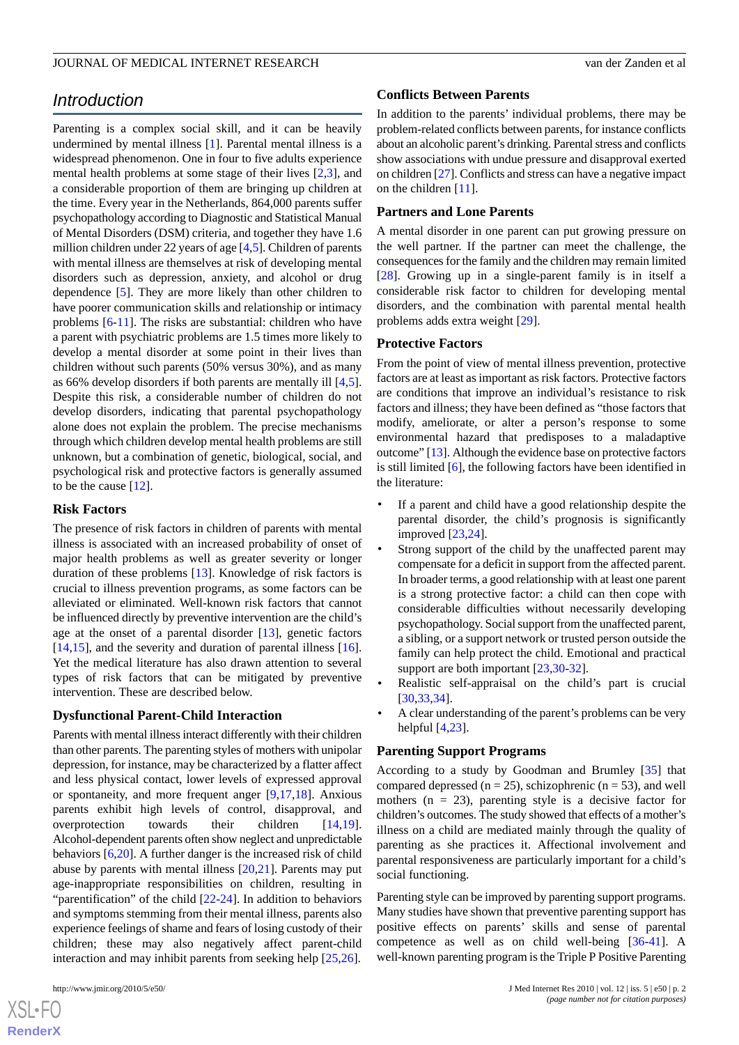# *Introduction*

Parenting is a complex social skill, and it can be heavily undermined by mental illness [[1\]](#page-8-0). Parental mental illness is a widespread phenomenon. One in four to five adults experience mental health problems at some stage of their lives [[2](#page-8-1)[,3](#page-8-2)], and a considerable proportion of them are bringing up children at the time. Every year in the Netherlands, 864,000 parents suffer psychopathology according to Diagnostic and Statistical Manual of Mental Disorders (DSM) criteria, and together they have 1.6 million children under 22 years of age [\[4](#page-8-3),[5](#page-8-4)]. Children of parents with mental illness are themselves at risk of developing mental disorders such as depression, anxiety, and alcohol or drug dependence [[5\]](#page-8-4). They are more likely than other children to have poorer communication skills and relationship or intimacy problems [\[6](#page-8-5)[-11](#page-9-0)]. The risks are substantial: children who have a parent with psychiatric problems are 1.5 times more likely to develop a mental disorder at some point in their lives than children without such parents (50% versus 30%), and as many as 66% develop disorders if both parents are mentally ill [\[4](#page-8-3),[5\]](#page-8-4). Despite this risk, a considerable number of children do not develop disorders, indicating that parental psychopathology alone does not explain the problem. The precise mechanisms through which children develop mental health problems are still unknown, but a combination of genetic, biological, social, and psychological risk and protective factors is generally assumed to be the cause [[12\]](#page-9-1).

#### **Risk Factors**

The presence of risk factors in children of parents with mental illness is associated with an increased probability of onset of major health problems as well as greater severity or longer duration of these problems [[13\]](#page-9-2). Knowledge of risk factors is crucial to illness prevention programs, as some factors can be alleviated or eliminated. Well-known risk factors that cannot be influenced directly by preventive intervention are the child's age at the onset of a parental disorder [[13\]](#page-9-2), genetic factors [[14](#page-9-3)[,15](#page-9-4)], and the severity and duration of parental illness [[16\]](#page-9-5). Yet the medical literature has also drawn attention to several types of risk factors that can be mitigated by preventive intervention. These are described below.

#### **Dysfunctional Parent-Child Interaction**

Parents with mental illness interact differently with their children than other parents. The parenting styles of mothers with unipolar depression, for instance, may be characterized by a flatter affect and less physical contact, lower levels of expressed approval or spontaneity, and more frequent anger [[9,](#page-9-6)[17](#page-9-7),[18\]](#page-9-8). Anxious parents exhibit high levels of control, disapproval, and overprotection towards their children [\[14](#page-9-3),[19\]](#page-9-9). Alcohol-dependent parents often show neglect and unpredictable behaviors [[6,](#page-8-5)[20](#page-9-10)]. A further danger is the increased risk of child abuse by parents with mental illness [\[20](#page-9-10),[21\]](#page-9-11). Parents may put age-inappropriate responsibilities on children, resulting in "parentification" of the child [\[22](#page-9-12)-[24\]](#page-9-13). In addition to behaviors and symptoms stemming from their mental illness, parents also experience feelings of shame and fears of losing custody of their children; these may also negatively affect parent-child interaction and may inhibit parents from seeking help [\[25](#page-9-14),[26\]](#page-9-15).

#### **Conflicts Between Parents**

In addition to the parents' individual problems, there may be problem-related conflicts between parents, for instance conflicts about an alcoholic parent's drinking. Parental stress and conflicts show associations with undue pressure and disapproval exerted on children [\[27\]](#page-9-16). Conflicts and stress can have a negative impact on the children [[11\]](#page-9-0).

#### **Partners and Lone Parents**

A mental disorder in one parent can put growing pressure on the well partner. If the partner can meet the challenge, the consequences for the family and the children may remain limited [[28\]](#page-9-17). Growing up in a single-parent family is in itself a considerable risk factor to children for developing mental disorders, and the combination with parental mental health problems adds extra weight [[29\]](#page-9-18).

#### **Protective Factors**

From the point of view of mental illness prevention, protective factors are at least as important as risk factors. Protective factors are conditions that improve an individual's resistance to risk factors and illness; they have been defined as "those factors that modify, ameliorate, or alter a person's response to some environmental hazard that predisposes to a maladaptive outcome" [\[13\]](#page-9-2). Although the evidence base on protective factors is still limited [\[6](#page-8-5)], the following factors have been identified in the literature:

- If a parent and child have a good relationship despite the parental disorder, the child's prognosis is significantly improved [\[23](#page-9-19)[,24](#page-9-13)].
- Strong support of the child by the unaffected parent may compensate for a deficit in support from the affected parent. In broader terms, a good relationship with at least one parent is a strong protective factor: a child can then cope with considerable difficulties without necessarily developing psychopathology. Social support from the unaffected parent, a sibling, or a support network or trusted person outside the family can help protect the child. Emotional and practical support are both important [[23](#page-9-19)[,30](#page-9-20)-[32\]](#page-9-21).
- Realistic self-appraisal on the child's part is crucial [[30](#page-9-20)[,33](#page-10-0),[34\]](#page-10-1).
- A clear understanding of the parent's problems can be very helpful [[4](#page-8-3)[,23](#page-9-19)].

#### **Parenting Support Programs**

According to a study by Goodman and Brumley [[35\]](#page-10-2) that compared depressed ( $n = 25$ ), schizophrenic ( $n = 53$ ), and well mothers  $(n = 23)$ , parenting style is a decisive factor for children's outcomes. The study showed that effects of a mother's illness on a child are mediated mainly through the quality of parenting as she practices it. Affectional involvement and parental responsiveness are particularly important for a child's social functioning.

Parenting style can be improved by parenting support programs. Many studies have shown that preventive parenting support has positive effects on parents' skills and sense of parental competence as well as on child well-being [[36-](#page-10-3)[41\]](#page-10-4). A well-known parenting program is the Triple P Positive Parenting

 $XS$  $\cdot$ FC **[RenderX](http://www.renderx.com/)**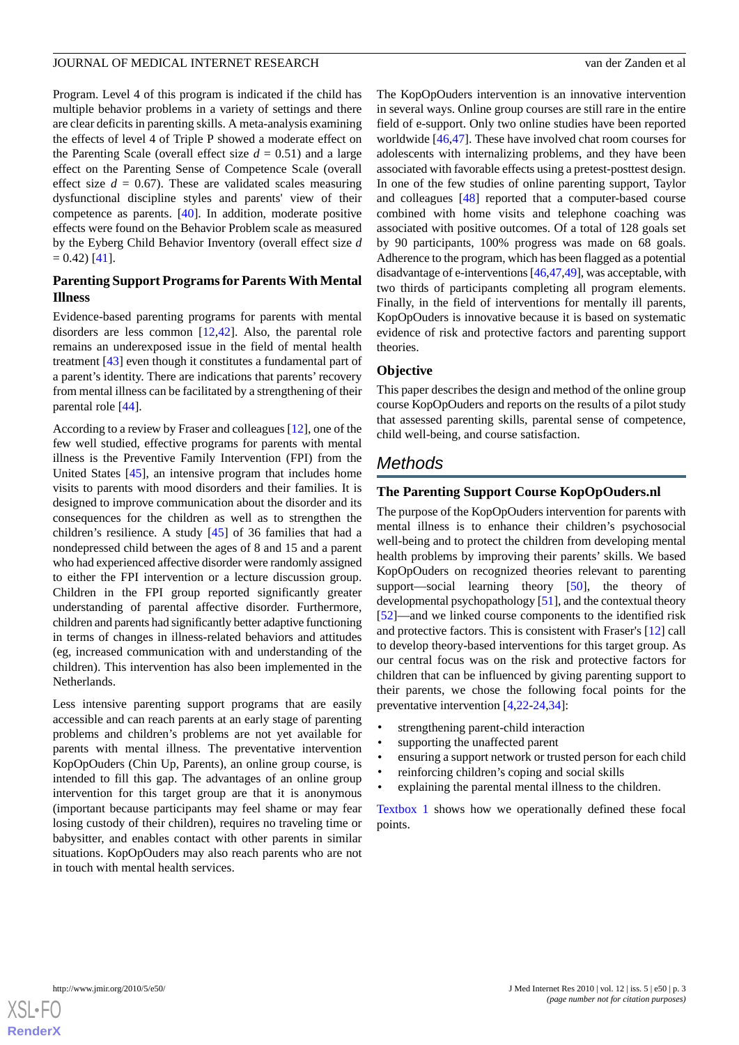Program. Level 4 of this program is indicated if the child has multiple behavior problems in a variety of settings and there are clear deficits in parenting skills. A meta-analysis examining the effects of level 4 of Triple P showed a moderate effect on the Parenting Scale (overall effect size  $d = 0.51$ ) and a large effect on the Parenting Sense of Competence Scale (overall effect size  $d = 0.67$ ). These are validated scales measuring dysfunctional discipline styles and parents' view of their competence as parents. [\[40](#page-10-5)]. In addition, moderate positive effects were found on the Behavior Problem scale as measured by the Eyberg Child Behavior Inventory (overall effect size *d*  $= 0.42$ ) [\[41](#page-10-4)].

## **Parenting Support Programs for Parents With Mental Illness**

Evidence-based parenting programs for parents with mental disorders are less common [\[12](#page-9-1),[42\]](#page-10-6). Also, the parental role remains an underexposed issue in the field of mental health treatment [\[43](#page-10-7)] even though it constitutes a fundamental part of a parent's identity. There are indications that parents' recovery from mental illness can be facilitated by a strengthening of their parental role [[44\]](#page-10-8).

According to a review by Fraser and colleagues [[12\]](#page-9-1), one of the few well studied, effective programs for parents with mental illness is the Preventive Family Intervention (FPI) from the United States [\[45](#page-10-9)], an intensive program that includes home visits to parents with mood disorders and their families. It is designed to improve communication about the disorder and its consequences for the children as well as to strengthen the children's resilience. A study [[45\]](#page-10-9) of 36 families that had a nondepressed child between the ages of 8 and 15 and a parent who had experienced affective disorder were randomly assigned to either the FPI intervention or a lecture discussion group. Children in the FPI group reported significantly greater understanding of parental affective disorder. Furthermore, children and parents had significantly better adaptive functioning in terms of changes in illness-related behaviors and attitudes (eg, increased communication with and understanding of the children). This intervention has also been implemented in the Netherlands.

Less intensive parenting support programs that are easily accessible and can reach parents at an early stage of parenting problems and children's problems are not yet available for parents with mental illness. The preventative intervention KopOpOuders (Chin Up, Parents), an online group course, is intended to fill this gap. The advantages of an online group intervention for this target group are that it is anonymous (important because participants may feel shame or may fear losing custody of their children), requires no traveling time or babysitter, and enables contact with other parents in similar situations. KopOpOuders may also reach parents who are not in touch with mental health services.

The KopOpOuders intervention is an innovative intervention in several ways. Online group courses are still rare in the entire field of e-support. Only two online studies have been reported worldwide [[46](#page-10-10)[,47](#page-10-11)]. These have involved chat room courses for adolescents with internalizing problems, and they have been associated with favorable effects using a pretest-posttest design. In one of the few studies of online parenting support, Taylor and colleagues [\[48](#page-10-12)] reported that a computer-based course combined with home visits and telephone coaching was associated with positive outcomes. Of a total of 128 goals set by 90 participants, 100% progress was made on 68 goals. Adherence to the program, which has been flagged as a potential disadvantage of e-interventions [\[46](#page-10-10),[47](#page-10-11)[,49\]](#page-10-13), was acceptable, with two thirds of participants completing all program elements. Finally, in the field of interventions for mentally ill parents, KopOpOuders is innovative because it is based on systematic evidence of risk and protective factors and parenting support theories.

#### **Objective**

This paper describes the design and method of the online group course KopOpOuders and reports on the results of a pilot study that assessed parenting skills, parental sense of competence, child well-being, and course satisfaction.

# *Methods*

### **The Parenting Support Course KopOpOuders.nl**

The purpose of the KopOpOuders intervention for parents with mental illness is to enhance their children's psychosocial well-being and to protect the children from developing mental health problems by improving their parents' skills. We based KopOpOuders on recognized theories relevant to parenting support—social learning theory [[50\]](#page-10-14), the theory of developmental psychopathology [\[51](#page-10-15)], and the contextual theory [[52\]](#page-10-16)—and we linked course components to the identified risk and protective factors. This is consistent with Fraser's [[12\]](#page-9-1) call to develop theory-based interventions for this target group. As our central focus was on the risk and protective factors for children that can be influenced by giving parenting support to their parents, we chose the following focal points for the preventative intervention [[4](#page-8-3)[,22](#page-9-12)-[24,](#page-9-13)[34](#page-10-1)]:

- strengthening parent-child interaction
- supporting the unaffected parent
- ensuring a support network or trusted person for each child
- reinforcing children's coping and social skills
- explaining the parental mental illness to the children.

[Textbox 1](#page-3-0) shows how we operationally defined these focal points.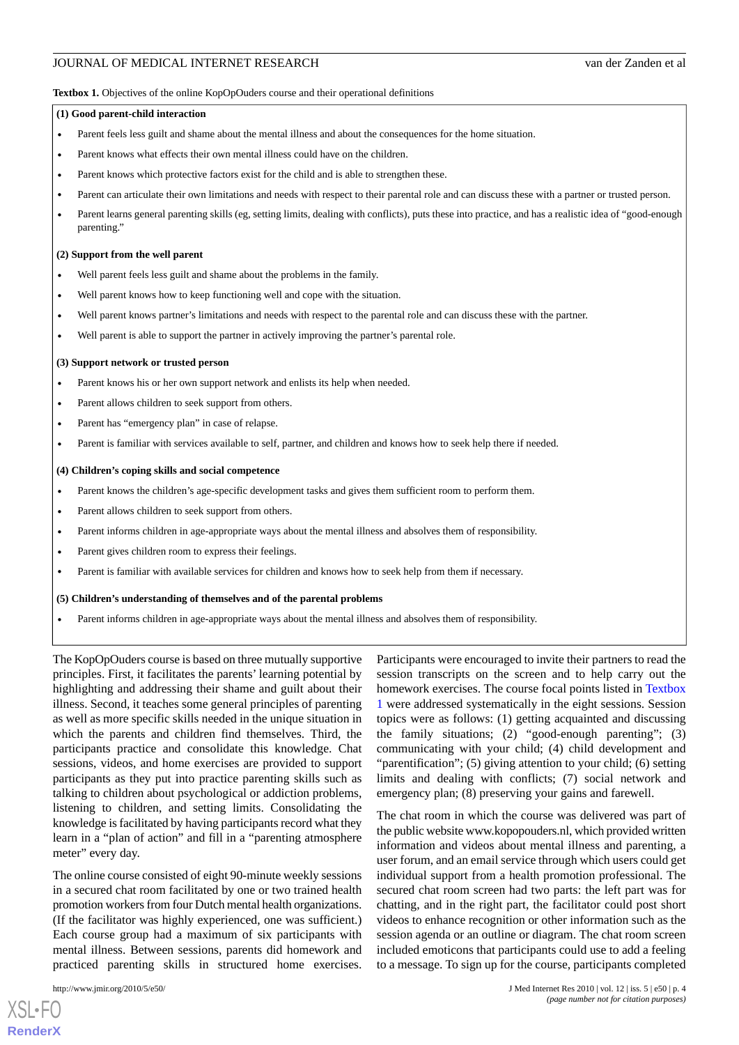#### <span id="page-3-0"></span>Textbox 1. Objectives of the online KopOpOuders course and their operational definitions

#### **(1) Good parent-child interaction**

- Parent feels less guilt and shame about the mental illness and about the consequences for the home situation.
- Parent knows what effects their own mental illness could have on the children.
- Parent knows which protective factors exist for the child and is able to strengthen these.
- Parent can articulate their own limitations and needs with respect to their parental role and can discuss these with a partner or trusted person.
- Parent learns general parenting skills (eg, setting limits, dealing with conflicts), puts these into practice, and has a realistic idea of "good-enough parenting."

#### **(2) Support from the well parent**

- Well parent feels less guilt and shame about the problems in the family.
- Well parent knows how to keep functioning well and cope with the situation.
- Well parent knows partner's limitations and needs with respect to the parental role and can discuss these with the partner.
- Well parent is able to support the partner in actively improving the partner's parental role.

#### **(3) Support network or trusted person**

- Parent knows his or her own support network and enlists its help when needed.
- Parent allows children to seek support from others.
- Parent has "emergency plan" in case of relapse.
- Parent is familiar with services available to self, partner, and children and knows how to seek help there if needed.

#### **(4) Children's coping skills and social competence**

- Parent knows the children's age-specific development tasks and gives them sufficient room to perform them.
- Parent allows children to seek support from others.
- Parent informs children in age-appropriate ways about the mental illness and absolves them of responsibility.
- Parent gives children room to express their feelings.
- Parent is familiar with available services for children and knows how to seek help from them if necessary.

#### **(5) Children's understanding of themselves and of the parental problems**

• Parent informs children in age-appropriate ways about the mental illness and absolves them of responsibility.

The KopOpOuders course is based on three mutually supportive principles. First, it facilitates the parents' learning potential by highlighting and addressing their shame and guilt about their illness. Second, it teaches some general principles of parenting as well as more specific skills needed in the unique situation in which the parents and children find themselves. Third, the participants practice and consolidate this knowledge. Chat sessions, videos, and home exercises are provided to support participants as they put into practice parenting skills such as talking to children about psychological or addiction problems, listening to children, and setting limits. Consolidating the knowledge is facilitated by having participants record what they learn in a "plan of action" and fill in a "parenting atmosphere meter" every day.

The online course consisted of eight 90-minute weekly sessions in a secured chat room facilitated by one or two trained health promotion workers from four Dutch mental health organizations. (If the facilitator was highly experienced, one was sufficient.) Each course group had a maximum of six participants with mental illness. Between sessions, parents did homework and practiced parenting skills in structured home exercises.

[XSL](http://www.w3.org/Style/XSL)•FO **[RenderX](http://www.renderx.com/)** Participants were encouraged to invite their partners to read the session transcripts on the screen and to help carry out the homework exercises. The course focal points listed in [Textbox](#page-3-0) [1](#page-3-0) were addressed systematically in the eight sessions. Session topics were as follows: (1) getting acquainted and discussing the family situations; (2) "good-enough parenting"; (3) communicating with your child; (4) child development and "parentification"; (5) giving attention to your child; (6) setting limits and dealing with conflicts; (7) social network and emergency plan; (8) preserving your gains and farewell.

The chat room in which the course was delivered was part of the public website www.kopopouders.nl, which provided written information and videos about mental illness and parenting, a user forum, and an email service through which users could get individual support from a health promotion professional. The secured chat room screen had two parts: the left part was for chatting, and in the right part, the facilitator could post short videos to enhance recognition or other information such as the session agenda or an outline or diagram. The chat room screen included emoticons that participants could use to add a feeling to a message. To sign up for the course, participants completed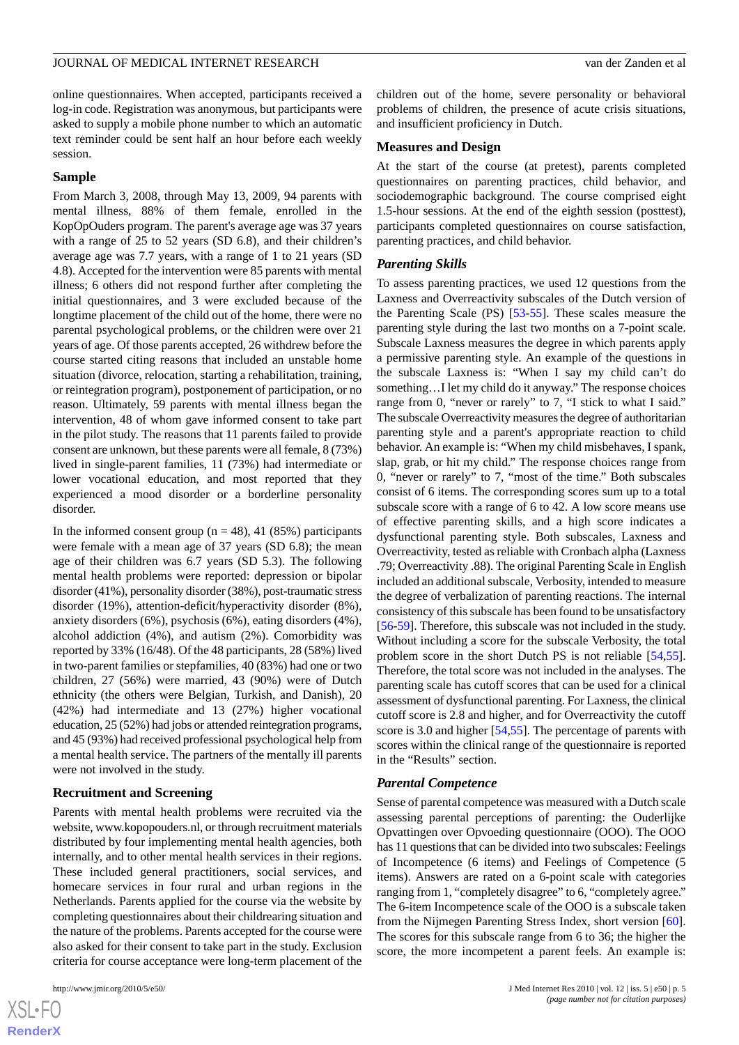online questionnaires. When accepted, participants received a log-in code. Registration was anonymous, but participants were asked to supply a mobile phone number to which an automatic text reminder could be sent half an hour before each weekly session.

#### **Sample**

From March 3, 2008, through May 13, 2009, 94 parents with mental illness, 88% of them female, enrolled in the KopOpOuders program. The parent's average age was 37 years with a range of 25 to 52 years (SD 6.8), and their children's average age was 7.7 years, with a range of 1 to 21 years (SD 4.8). Accepted for the intervention were 85 parents with mental illness; 6 others did not respond further after completing the initial questionnaires, and 3 were excluded because of the longtime placement of the child out of the home, there were no parental psychological problems, or the children were over 21 years of age. Of those parents accepted, 26 withdrew before the course started citing reasons that included an unstable home situation (divorce, relocation, starting a rehabilitation, training, or reintegration program), postponement of participation, or no reason. Ultimately, 59 parents with mental illness began the intervention, 48 of whom gave informed consent to take part in the pilot study. The reasons that 11 parents failed to provide consent are unknown, but these parents were all female, 8 (73%) lived in single-parent families, 11 (73%) had intermediate or lower vocational education, and most reported that they experienced a mood disorder or a borderline personality disorder.

In the informed consent group ( $n = 48$ ), 41 (85%) participants were female with a mean age of 37 years (SD 6.8); the mean age of their children was 6.7 years (SD 5.3). The following mental health problems were reported: depression or bipolar disorder (41%), personality disorder (38%), post-traumatic stress disorder (19%), attention-deficit/hyperactivity disorder (8%), anxiety disorders (6%), psychosis (6%), eating disorders (4%), alcohol addiction (4%), and autism (2%). Comorbidity was reported by 33% (16/48). Of the 48 participants, 28 (58%) lived in two-parent families or stepfamilies, 40 (83%) had one or two children, 27 (56%) were married, 43 (90%) were of Dutch ethnicity (the others were Belgian, Turkish, and Danish), 20 (42%) had intermediate and 13 (27%) higher vocational education, 25 (52%) had jobs or attended reintegration programs, and 45 (93%) had received professional psychological help from a mental health service. The partners of the mentally ill parents were not involved in the study.

#### **Recruitment and Screening**

Parents with mental health problems were recruited via the website, www.kopopouders.nl, or through recruitment materials distributed by four implementing mental health agencies, both internally, and to other mental health services in their regions. These included general practitioners, social services, and homecare services in four rural and urban regions in the Netherlands. Parents applied for the course via the website by completing questionnaires about their childrearing situation and the nature of the problems. Parents accepted for the course were also asked for their consent to take part in the study. Exclusion criteria for course acceptance were long-term placement of the

children out of the home, severe personality or behavioral problems of children, the presence of acute crisis situations, and insufficient proficiency in Dutch.

#### **Measures and Design**

At the start of the course (at pretest), parents completed questionnaires on parenting practices, child behavior, and sociodemographic background. The course comprised eight 1.5-hour sessions. At the end of the eighth session (posttest), participants completed questionnaires on course satisfaction, parenting practices, and child behavior.

#### *Parenting Skills*

To assess parenting practices, we used 12 questions from the Laxness and Overreactivity subscales of the Dutch version of the Parenting Scale (PS) [[53-](#page-10-17)[55\]](#page-10-18). These scales measure the parenting style during the last two months on a 7-point scale. Subscale Laxness measures the degree in which parents apply a permissive parenting style. An example of the questions in the subscale Laxness is: "When I say my child can't do something…I let my child do it anyway." The response choices range from 0, "never or rarely" to 7, "I stick to what I said." The subscale Overreactivity measures the degree of authoritarian parenting style and a parent's appropriate reaction to child behavior. An example is: "When my child misbehaves, I spank, slap, grab, or hit my child." The response choices range from 0, "never or rarely" to 7, "most of the time." Both subscales consist of 6 items. The corresponding scores sum up to a total subscale score with a range of 6 to 42. A low score means use of effective parenting skills, and a high score indicates a dysfunctional parenting style. Both subscales, Laxness and Overreactivity, tested as reliable with Cronbach alpha (Laxness .79; Overreactivity .88). The original Parenting Scale in English included an additional subscale, Verbosity, intended to measure the degree of verbalization of parenting reactions. The internal consistency of this subscale has been found to be unsatisfactory [[56](#page-10-19)[-59](#page-11-0)]. Therefore, this subscale was not included in the study. Without including a score for the subscale Verbosity, the total problem score in the short Dutch PS is not reliable [\[54](#page-10-20),[55\]](#page-10-18). Therefore, the total score was not included in the analyses. The parenting scale has cutoff scores that can be used for a clinical assessment of dysfunctional parenting. For Laxness, the clinical cutoff score is 2.8 and higher, and for Overreactivity the cutoff score is 3.0 and higher [[54](#page-10-20)[,55](#page-10-18)]. The percentage of parents with scores within the clinical range of the questionnaire is reported in the "Results" section.

#### *Parental Competence*

Sense of parental competence was measured with a Dutch scale assessing parental perceptions of parenting: the Ouderlijke Opvattingen over Opvoeding questionnaire (OOO). The OOO has 11 questions that can be divided into two subscales: Feelings of Incompetence (6 items) and Feelings of Competence (5 items). Answers are rated on a 6-point scale with categories ranging from 1, "completely disagree" to 6, "completely agree." The 6-item Incompetence scale of the OOO is a subscale taken from the Nijmegen Parenting Stress Index, short version [[60\]](#page-11-1). The scores for this subscale range from 6 to 36; the higher the score, the more incompetent a parent feels. An example is:

 $XSJ \cdot F$ **[RenderX](http://www.renderx.com/)**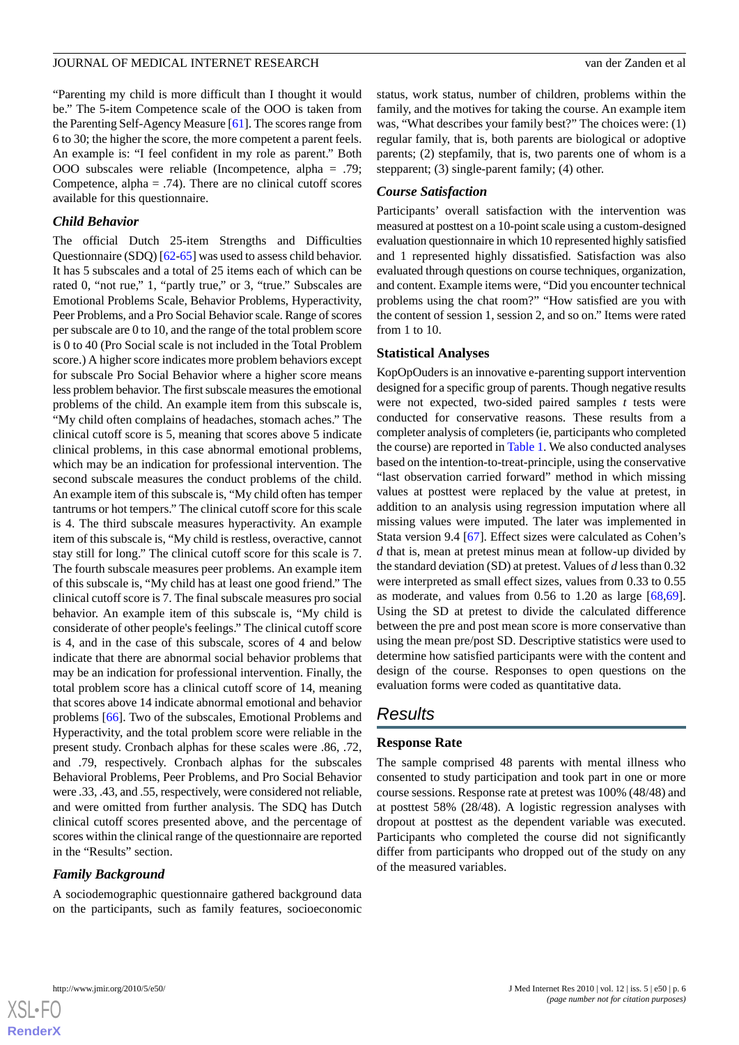"Parenting my child is more difficult than I thought it would be." The 5-item Competence scale of the OOO is taken from the Parenting Self-Agency Measure [\[61\]](#page-11-2). The scores range from 6 to 30; the higher the score, the more competent a parent feels. An example is: "I feel confident in my role as parent." Both OOO subscales were reliable (Incompetence, alpha = .79; Competence, alpha  $= .74$ ). There are no clinical cutoff scores available for this questionnaire.

#### *Child Behavior*

The official Dutch 25-item Strengths and Difficulties Questionnaire (SDQ) [[62-](#page-11-3)[65\]](#page-11-4) was used to assess child behavior. It has 5 subscales and a total of 25 items each of which can be rated 0, "not rue," 1, "partly true," or 3, "true." Subscales are Emotional Problems Scale, Behavior Problems, Hyperactivity, Peer Problems, and a Pro Social Behavior scale. Range of scores per subscale are 0 to 10, and the range of the total problem score is 0 to 40 (Pro Social scale is not included in the Total Problem score.) A higher score indicates more problem behaviors except for subscale Pro Social Behavior where a higher score means less problem behavior. The first subscale measures the emotional problems of the child. An example item from this subscale is, "My child often complains of headaches, stomach aches." The clinical cutoff score is 5, meaning that scores above 5 indicate clinical problems, in this case abnormal emotional problems, which may be an indication for professional intervention. The second subscale measures the conduct problems of the child. An example item of this subscale is, "My child often has temper tantrums or hot tempers." The clinical cutoff score for this scale is 4. The third subscale measures hyperactivity. An example item of this subscale is, "My child is restless, overactive, cannot stay still for long." The clinical cutoff score for this scale is 7. The fourth subscale measures peer problems. An example item of this subscale is, "My child has at least one good friend." The clinical cutoff score is 7. The final subscale measures pro social behavior. An example item of this subscale is, "My child is considerate of other people's feelings." The clinical cutoff score is 4, and in the case of this subscale, scores of 4 and below indicate that there are abnormal social behavior problems that may be an indication for professional intervention. Finally, the total problem score has a clinical cutoff score of 14, meaning that scores above 14 indicate abnormal emotional and behavior problems [[66\]](#page-11-5). Two of the subscales, Emotional Problems and Hyperactivity, and the total problem score were reliable in the present study. Cronbach alphas for these scales were .86, .72, and .79, respectively. Cronbach alphas for the subscales Behavioral Problems, Peer Problems, and Pro Social Behavior were .33, .43, and .55, respectively, were considered not reliable, and were omitted from further analysis. The SDQ has Dutch clinical cutoff scores presented above, and the percentage of scores within the clinical range of the questionnaire are reported in the "Results" section.

#### *Family Background*

A sociodemographic questionnaire gathered background data on the participants, such as family features, socioeconomic

status, work status, number of children, problems within the family, and the motives for taking the course. An example item was, "What describes your family best?" The choices were: (1) regular family, that is, both parents are biological or adoptive parents; (2) stepfamily, that is, two parents one of whom is a stepparent; (3) single-parent family; (4) other.

#### *Course Satisfaction*

Participants' overall satisfaction with the intervention was measured at posttest on a 10-point scale using a custom-designed evaluation questionnaire in which 10 represented highly satisfied and 1 represented highly dissatisfied. Satisfaction was also evaluated through questions on course techniques, organization, and content. Example items were, "Did you encounter technical problems using the chat room?" "How satisfied are you with the content of session 1, session 2, and so on." Items were rated from 1 to 10.

#### **Statistical Analyses**

KopOpOuders is an innovative e-parenting support intervention designed for a specific group of parents. Though negative results were not expected, two-sided paired samples *t* tests were conducted for conservative reasons. These results from a completer analysis of completers (ie, participants who completed the course) are reported in [Table 1.](#page-6-0) We also conducted analyses based on the intention-to-treat-principle, using the conservative "last observation carried forward" method in which missing values at posttest were replaced by the value at pretest, in addition to an analysis using regression imputation where all missing values were imputed. The later was implemented in Stata version 9.4 [[67\]](#page-11-6). Effect sizes were calculated as Cohen's *d* that is, mean at pretest minus mean at follow-up divided by the standard deviation (SD) at pretest. Values of *d* less than 0.32 were interpreted as small effect sizes, values from 0.33 to 0.55 as moderate, and values from 0.56 to 1.20 as large [\[68](#page-11-7),[69\]](#page-11-8). Using the SD at pretest to divide the calculated difference between the pre and post mean score is more conservative than using the mean pre/post SD. Descriptive statistics were used to determine how satisfied participants were with the content and design of the course. Responses to open questions on the evaluation forms were coded as quantitative data.

# *Results*

#### **Response Rate**

The sample comprised 48 parents with mental illness who consented to study participation and took part in one or more course sessions. Response rate at pretest was 100% (48/48) and at posttest 58% (28/48). A logistic regression analyses with dropout at posttest as the dependent variable was executed. Participants who completed the course did not significantly differ from participants who dropped out of the study on any of the measured variables.

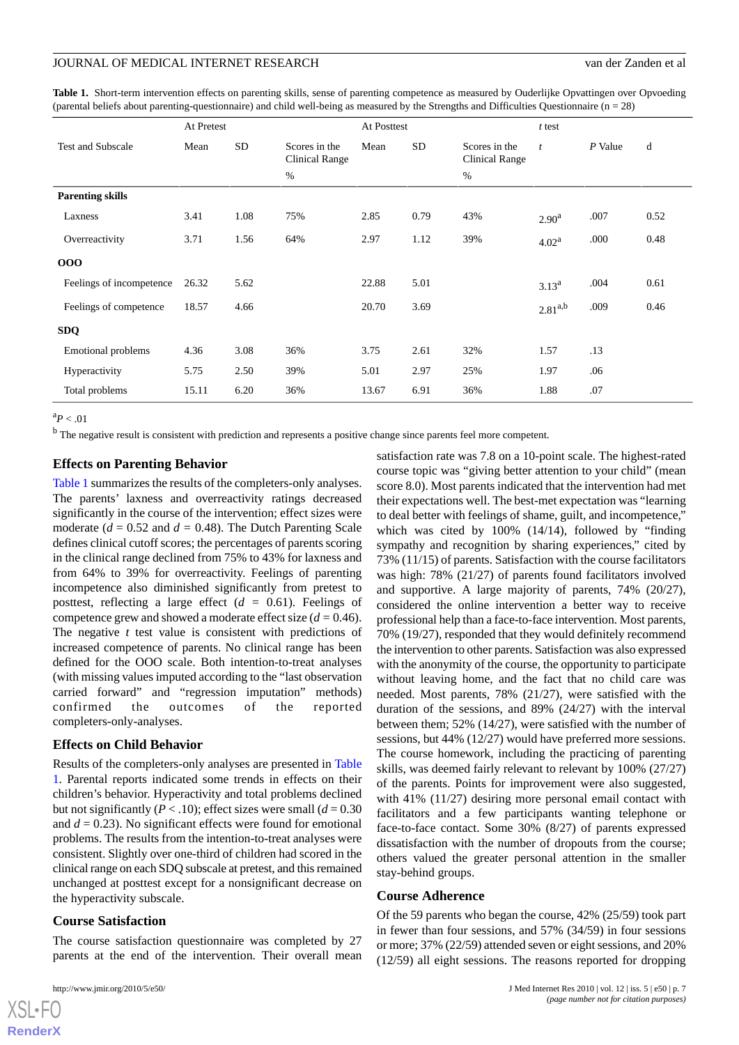<span id="page-6-0"></span>Table 1. Short-term intervention effects on parenting skills, sense of parenting competence as measured by Ouderlijke Opvattingen over Opvoeding (parental beliefs about parenting-questionnaire) and child well-being as measured by the Strengths and Difficulties Questionnaire ( $n = 28$ )

|                           | At Pretest |           |                                 |       | At Posttest     |                                 |                   | $t$ test  |      |  |
|---------------------------|------------|-----------|---------------------------------|-------|-----------------|---------------------------------|-------------------|-----------|------|--|
| <b>Test and Subscale</b>  | Mean       | <b>SD</b> | Scores in the<br>Clinical Range | Mean  | SD <sub>1</sub> | Scores in the<br>Clinical Range | $\mathfrak{t}$    | $P$ Value | d    |  |
|                           |            |           | $\%$                            |       |                 | $\%$                            |                   |           |      |  |
| <b>Parenting skills</b>   |            |           |                                 |       |                 |                                 |                   |           |      |  |
| Laxness                   | 3.41       | 1.08      | 75%                             | 2.85  | 0.79            | 43%                             | 2.90 <sup>a</sup> | .007      | 0.52 |  |
| Overreactivity            | 3.71       | 1.56      | 64%                             | 2.97  | 1.12            | 39%                             | 4.02 <sup>a</sup> | .000      | 0.48 |  |
| 000                       |            |           |                                 |       |                 |                                 |                   |           |      |  |
| Feelings of incompetence  | 26.32      | 5.62      |                                 | 22.88 | 5.01            |                                 | $3.13^{a}$        | .004      | 0.61 |  |
| Feelings of competence    | 18.57      | 4.66      |                                 | 20.70 | 3.69            |                                 | $2.81^{a,b}$      | .009      | 0.46 |  |
| <b>SDQ</b>                |            |           |                                 |       |                 |                                 |                   |           |      |  |
| <b>Emotional problems</b> | 4.36       | 3.08      | 36%                             | 3.75  | 2.61            | 32%                             | 1.57              | .13       |      |  |
| Hyperactivity             | 5.75       | 2.50      | 39%                             | 5.01  | 2.97            | 25%                             | 1.97              | .06       |      |  |
| Total problems            | 15.11      | 6.20      | 36%                             | 13.67 | 6.91            | 36%                             | 1.88              | .07       |      |  |

 ${}^{a}P$  < .01

<sup>b</sup> The negative result is consistent with prediction and represents a positive change since parents feel more competent.

#### **Effects on Parenting Behavior**

[Table 1](#page-6-0) summarizes the results of the completers-only analyses. The parents' laxness and overreactivity ratings decreased significantly in the course of the intervention; effect sizes were moderate  $(d = 0.52$  and  $d = 0.48$ ). The Dutch Parenting Scale defines clinical cutoff scores; the percentages of parents scoring in the clinical range declined from 75% to 43% for laxness and from 64% to 39% for overreactivity. Feelings of parenting incompetence also diminished significantly from pretest to posttest, reflecting a large effect (*d =* 0.61). Feelings of competence grew and showed a moderate effect size (*d =* 0.46). The negative *t* test value is consistent with predictions of increased competence of parents. No clinical range has been defined for the OOO scale. Both intention-to-treat analyses (with missing values imputed according to the "last observation carried forward" and "regression imputation" methods) confirmed the outcomes of the reported completers-only-analyses.

#### **Effects on Child Behavior**

Results of the completers-only analyses are presented in [Table](#page-6-0) [1.](#page-6-0) Parental reports indicated some trends in effects on their children's behavior. Hyperactivity and total problems declined but not significantly ( $P < 0.10$ ); effect sizes were small ( $d = 0.30$ ) and  $d = 0.23$ ). No significant effects were found for emotional problems. The results from the intention-to-treat analyses were consistent. Slightly over one-third of children had scored in the clinical range on each SDQ subscale at pretest, and this remained unchanged at posttest except for a nonsignificant decrease on the hyperactivity subscale.

#### **Course Satisfaction**

The course satisfaction questionnaire was completed by 27 parents at the end of the intervention. Their overall mean satisfaction rate was 7.8 on a 10-point scale. The highest-rated course topic was "giving better attention to your child" (mean score 8.0). Most parents indicated that the intervention had met their expectations well. The best-met expectation was "learning to deal better with feelings of shame, guilt, and incompetence," which was cited by 100% (14/14), followed by "finding sympathy and recognition by sharing experiences," cited by 73% (11/15) of parents. Satisfaction with the course facilitators was high: 78% (21/27) of parents found facilitators involved and supportive. A large majority of parents, 74% (20/27), considered the online intervention a better way to receive professional help than a face-to-face intervention. Most parents, 70% (19/27), responded that they would definitely recommend the intervention to other parents. Satisfaction was also expressed with the anonymity of the course, the opportunity to participate without leaving home, and the fact that no child care was needed. Most parents, 78% (21/27), were satisfied with the duration of the sessions, and 89% (24/27) with the interval between them; 52% (14/27), were satisfied with the number of sessions, but 44% (12/27) would have preferred more sessions. The course homework, including the practicing of parenting skills, was deemed fairly relevant to relevant by 100% (27/27) of the parents. Points for improvement were also suggested, with 41% (11/27) desiring more personal email contact with facilitators and a few participants wanting telephone or face-to-face contact. Some 30% (8/27) of parents expressed dissatisfaction with the number of dropouts from the course; others valued the greater personal attention in the smaller stay-behind groups.

#### **Course Adherence**

Of the 59 parents who began the course, 42% (25/59) took part in fewer than four sessions, and 57% (34/59) in four sessions or more; 37% (22/59) attended seven or eight sessions, and 20% (12/59) all eight sessions. The reasons reported for dropping

```
XSL•FO
RenderX
```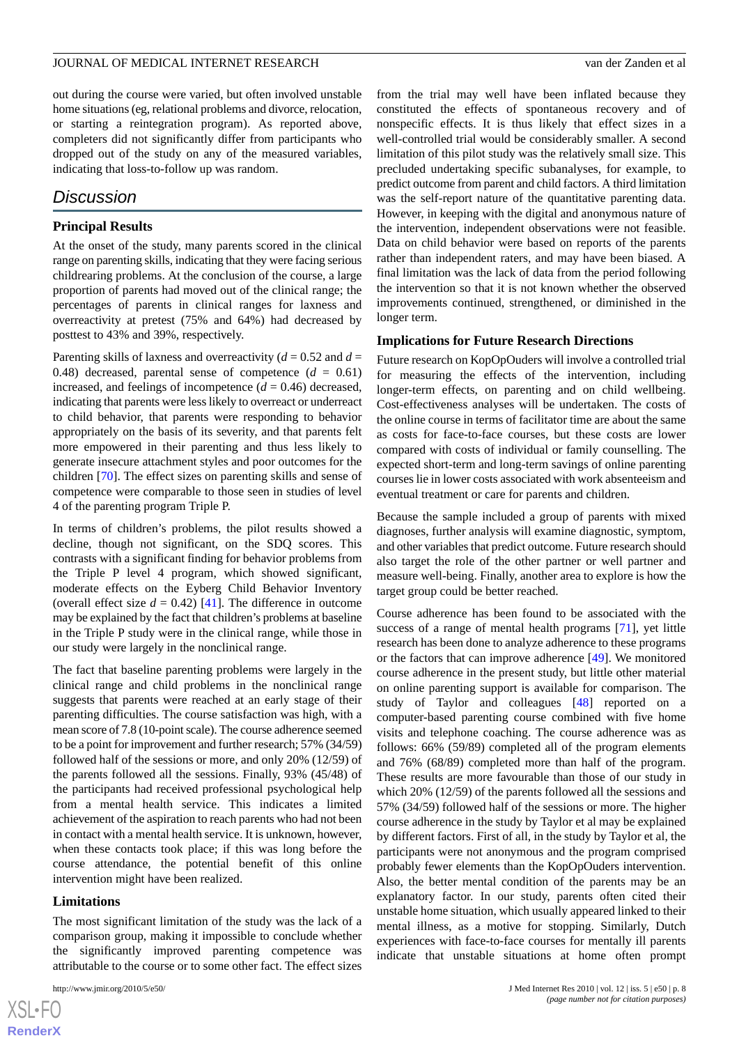out during the course were varied, but often involved unstable home situations (eg, relational problems and divorce, relocation, or starting a reintegration program). As reported above, completers did not significantly differ from participants who dropped out of the study on any of the measured variables, indicating that loss-to-follow up was random.

# *Discussion*

#### **Principal Results**

At the onset of the study, many parents scored in the clinical range on parenting skills, indicating that they were facing serious childrearing problems. At the conclusion of the course, a large proportion of parents had moved out of the clinical range; the percentages of parents in clinical ranges for laxness and overreactivity at pretest (75% and 64%) had decreased by posttest to 43% and 39%, respectively.

Parenting skills of laxness and overreactivity ( $d = 0.52$  and  $d =$ 0.48) decreased, parental sense of competence  $(d = 0.61)$ increased, and feelings of incompetence  $(d = 0.46)$  decreased, indicating that parents were less likely to overreact or underreact to child behavior, that parents were responding to behavior appropriately on the basis of its severity, and that parents felt more empowered in their parenting and thus less likely to generate insecure attachment styles and poor outcomes for the children [\[70](#page-11-9)]. The effect sizes on parenting skills and sense of competence were comparable to those seen in studies of level 4 of the parenting program Triple P.

In terms of children's problems, the pilot results showed a decline, though not significant, on the SDQ scores. This contrasts with a significant finding for behavior problems from the Triple P level 4 program, which showed significant, moderate effects on the Eyberg Child Behavior Inventory (overall effect size  $d = 0.42$ ) [\[41](#page-10-4)]. The difference in outcome may be explained by the fact that children's problems at baseline in the Triple P study were in the clinical range, while those in our study were largely in the nonclinical range.

The fact that baseline parenting problems were largely in the clinical range and child problems in the nonclinical range suggests that parents were reached at an early stage of their parenting difficulties. The course satisfaction was high, with a mean score of 7.8 (10-point scale). The course adherence seemed to be a point for improvement and further research; 57% (34/59) followed half of the sessions or more, and only 20% (12/59) of the parents followed all the sessions. Finally, 93% (45/48) of the participants had received professional psychological help from a mental health service. This indicates a limited achievement of the aspiration to reach parents who had not been in contact with a mental health service. It is unknown, however, when these contacts took place; if this was long before the course attendance, the potential benefit of this online intervention might have been realized.

#### **Limitations**

The most significant limitation of the study was the lack of a comparison group, making it impossible to conclude whether the significantly improved parenting competence was attributable to the course or to some other fact. The effect sizes

from the trial may well have been inflated because they constituted the effects of spontaneous recovery and of nonspecific effects. It is thus likely that effect sizes in a well-controlled trial would be considerably smaller. A second limitation of this pilot study was the relatively small size. This precluded undertaking specific subanalyses, for example, to predict outcome from parent and child factors. A third limitation was the self-report nature of the quantitative parenting data. However, in keeping with the digital and anonymous nature of the intervention, independent observations were not feasible. Data on child behavior were based on reports of the parents rather than independent raters, and may have been biased. A final limitation was the lack of data from the period following the intervention so that it is not known whether the observed improvements continued, strengthened, or diminished in the longer term.

#### **Implications for Future Research Directions**

Future research on KopOpOuders will involve a controlled trial for measuring the effects of the intervention, including longer-term effects, on parenting and on child wellbeing. Cost-effectiveness analyses will be undertaken. The costs of the online course in terms of facilitator time are about the same as costs for face-to-face courses, but these costs are lower compared with costs of individual or family counselling. The expected short-term and long-term savings of online parenting courses lie in lower costs associated with work absenteeism and eventual treatment or care for parents and children.

Because the sample included a group of parents with mixed diagnoses, further analysis will examine diagnostic, symptom, and other variables that predict outcome. Future research should also target the role of the other partner or well partner and measure well-being. Finally, another area to explore is how the target group could be better reached.

Course adherence has been found to be associated with the success of a range of mental health programs [\[71](#page-11-10)], yet little research has been done to analyze adherence to these programs or the factors that can improve adherence [\[49](#page-10-13)]. We monitored course adherence in the present study, but little other material on online parenting support is available for comparison. The study of Taylor and colleagues [[48\]](#page-10-12) reported on a computer-based parenting course combined with five home visits and telephone coaching. The course adherence was as follows: 66% (59/89) completed all of the program elements and 76% (68/89) completed more than half of the program. These results are more favourable than those of our study in which 20% (12/59) of the parents followed all the sessions and 57% (34/59) followed half of the sessions or more. The higher course adherence in the study by Taylor et al may be explained by different factors. First of all, in the study by Taylor et al, the participants were not anonymous and the program comprised probably fewer elements than the KopOpOuders intervention. Also, the better mental condition of the parents may be an explanatory factor. In our study, parents often cited their unstable home situation, which usually appeared linked to their mental illness, as a motive for stopping. Similarly, Dutch experiences with face-to-face courses for mentally ill parents indicate that unstable situations at home often prompt

```
XS-FO
RenderX
```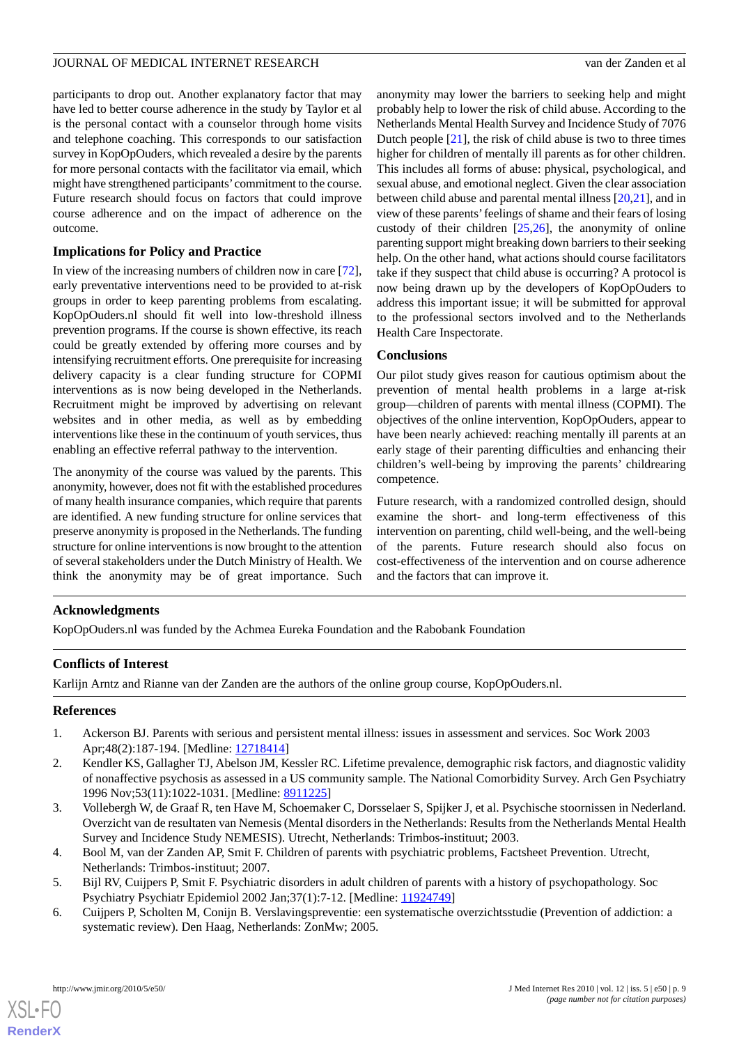participants to drop out. Another explanatory factor that may have led to better course adherence in the study by Taylor et al is the personal contact with a counselor through home visits and telephone coaching. This corresponds to our satisfaction survey in KopOpOuders, which revealed a desire by the parents for more personal contacts with the facilitator via email, which might have strengthened participants'commitment to the course. Future research should focus on factors that could improve course adherence and on the impact of adherence on the outcome.

# **Implications for Policy and Practice**

In view of the increasing numbers of children now in care [[72\]](#page-11-11), early preventative interventions need to be provided to at-risk groups in order to keep parenting problems from escalating. KopOpOuders.nl should fit well into low-threshold illness prevention programs. If the course is shown effective, its reach could be greatly extended by offering more courses and by intensifying recruitment efforts. One prerequisite for increasing delivery capacity is a clear funding structure for COPMI interventions as is now being developed in the Netherlands. Recruitment might be improved by advertising on relevant websites and in other media, as well as by embedding interventions like these in the continuum of youth services, thus enabling an effective referral pathway to the intervention.

The anonymity of the course was valued by the parents. This anonymity, however, does not fit with the established procedures of many health insurance companies, which require that parents are identified. A new funding structure for online services that preserve anonymity is proposed in the Netherlands. The funding structure for online interventions is now brought to the attention of several stakeholders under the Dutch Ministry of Health. We think the anonymity may be of great importance. Such anonymity may lower the barriers to seeking help and might probably help to lower the risk of child abuse. According to the Netherlands Mental Health Survey and Incidence Study of 7076 Dutch people [\[21](#page-9-11)], the risk of child abuse is two to three times higher for children of mentally ill parents as for other children. This includes all forms of abuse: physical, psychological, and sexual abuse, and emotional neglect. Given the clear association between child abuse and parental mental illness [[20](#page-9-10)[,21](#page-9-11)], and in view of these parents'feelings of shame and their fears of losing custody of their children  $[25,26]$  $[25,26]$  $[25,26]$  $[25,26]$ , the anonymity of online parenting support might breaking down barriers to their seeking help. On the other hand, what actions should course facilitators take if they suspect that child abuse is occurring? A protocol is now being drawn up by the developers of KopOpOuders to address this important issue; it will be submitted for approval to the professional sectors involved and to the Netherlands Health Care Inspectorate.

# **Conclusions**

Our pilot study gives reason for cautious optimism about the prevention of mental health problems in a large at-risk group—children of parents with mental illness (COPMI). The objectives of the online intervention, KopOpOuders, appear to have been nearly achieved: reaching mentally ill parents at an early stage of their parenting difficulties and enhancing their children's well-being by improving the parents' childrearing competence.

Future research, with a randomized controlled design, should examine the short- and long-term effectiveness of this intervention on parenting, child well-being, and the well-being of the parents. Future research should also focus on cost-effectiveness of the intervention and on course adherence and the factors that can improve it.

# **Acknowledgments**

KopOpOuders.nl was funded by the Achmea Eureka Foundation and the Rabobank Foundation

# <span id="page-8-0"></span>**Conflicts of Interest**

<span id="page-8-1"></span>Karlijn Arntz and Rianne van der Zanden are the authors of the online group course, KopOpOuders.nl.

# **References**

- <span id="page-8-2"></span>1. Ackerson BJ. Parents with serious and persistent mental illness: issues in assessment and services. Soc Work 2003 Apr;48(2):187-194. [Medline: [12718414\]](http://www.ncbi.nlm.nih.gov/entrez/query.fcgi?cmd=Retrieve&db=PubMed&list_uids=12718414&dopt=Abstract)
- <span id="page-8-3"></span>2. Kendler KS, Gallagher TJ, Abelson JM, Kessler RC. Lifetime prevalence, demographic risk factors, and diagnostic validity of nonaffective psychosis as assessed in a US community sample. The National Comorbidity Survey. Arch Gen Psychiatry 1996 Nov;53(11):1022-1031. [Medline: [8911225\]](http://www.ncbi.nlm.nih.gov/entrez/query.fcgi?cmd=Retrieve&db=PubMed&list_uids=8911225&dopt=Abstract)
- <span id="page-8-5"></span><span id="page-8-4"></span>3. Vollebergh W, de Graaf R, ten Have M, Schoemaker C, Dorsselaer S, Spijker J, et al. Psychische stoornissen in Nederland. Overzicht van de resultaten van Nemesis (Mental disorders in the Netherlands: Results from the Netherlands Mental Health Survey and Incidence Study NEMESIS). Utrecht, Netherlands: Trimbos-instituut; 2003.
- 4. Bool M, van der Zanden AP, Smit F. Children of parents with psychiatric problems, Factsheet Prevention. Utrecht, Netherlands: Trimbos-instituut; 2007.
- 5. Bijl RV, Cuijpers P, Smit F. Psychiatric disorders in adult children of parents with a history of psychopathology. Soc Psychiatry Psychiatr Epidemiol 2002 Jan;37(1):7-12. [Medline: [11924749\]](http://www.ncbi.nlm.nih.gov/entrez/query.fcgi?cmd=Retrieve&db=PubMed&list_uids=11924749&dopt=Abstract)
- 6. Cuijpers P, Scholten M, Conijn B. Verslavingspreventie: een systematische overzichtsstudie (Prevention of addiction: a systematic review). Den Haag, Netherlands: ZonMw; 2005.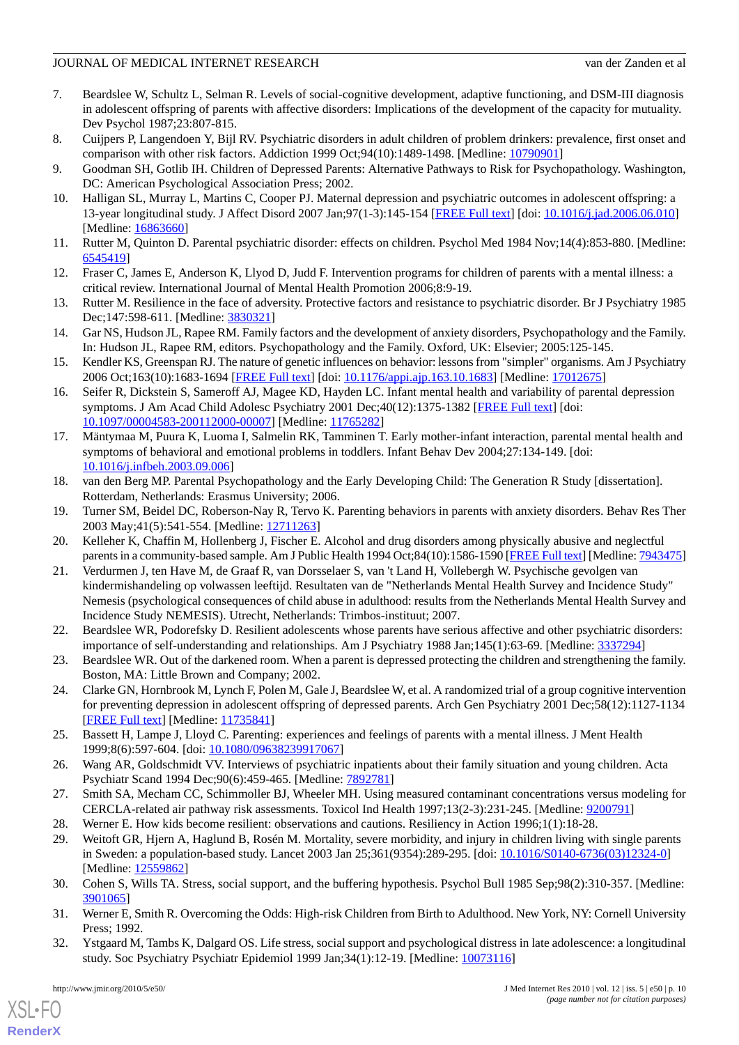- 7. Beardslee W, Schultz L, Selman R. Levels of social-cognitive development, adaptive functioning, and DSM-III diagnosis in adolescent offspring of parents with affective disorders: Implications of the development of the capacity for mutuality. Dev Psychol 1987;23:807-815.
- <span id="page-9-6"></span>8. Cuijpers P, Langendoen Y, Bijl RV. Psychiatric disorders in adult children of problem drinkers: prevalence, first onset and comparison with other risk factors. Addiction 1999 Oct;94(10):1489-1498. [Medline: [10790901](http://www.ncbi.nlm.nih.gov/entrez/query.fcgi?cmd=Retrieve&db=PubMed&list_uids=10790901&dopt=Abstract)]
- 9. Goodman SH, Gotlib IH. Children of Depressed Parents: Alternative Pathways to Risk for Psychopathology. Washington, DC: American Psychological Association Press; 2002.
- <span id="page-9-0"></span>10. Halligan SL, Murray L, Martins C, Cooper PJ. Maternal depression and psychiatric outcomes in adolescent offspring: a 13-year longitudinal study. J Affect Disord 2007 Jan;97(1-3):145-154 [[FREE Full text](http://www.biomedexperts.com/Abstract.bme/16863660/Maternal_depression_and_psychiatric_outcomes_in_adolescent_offspring_a_13-year_longitudinal_study)] [doi: [10.1016/j.jad.2006.06.010\]](http://dx.doi.org/10.1016/j.jad.2006.06.010) [Medline: [16863660](http://www.ncbi.nlm.nih.gov/entrez/query.fcgi?cmd=Retrieve&db=PubMed&list_uids=16863660&dopt=Abstract)]
- <span id="page-9-1"></span>11. Rutter M, Quinton D. Parental psychiatric disorder: effects on children. Psychol Med 1984 Nov;14(4):853-880. [Medline: [6545419\]](http://www.ncbi.nlm.nih.gov/entrez/query.fcgi?cmd=Retrieve&db=PubMed&list_uids=6545419&dopt=Abstract)
- <span id="page-9-2"></span>12. Fraser C, James E, Anderson K, Llyod D, Judd F. Intervention programs for children of parents with a mental illness: a critical review. International Journal of Mental Health Promotion 2006;8:9-19.
- <span id="page-9-3"></span>13. Rutter M. Resilience in the face of adversity. Protective factors and resistance to psychiatric disorder. Br J Psychiatry 1985 Dec;147:598-611. [Medline: [3830321](http://www.ncbi.nlm.nih.gov/entrez/query.fcgi?cmd=Retrieve&db=PubMed&list_uids=3830321&dopt=Abstract)]
- <span id="page-9-4"></span>14. Gar NS, Hudson JL, Rapee RM. Family factors and the development of anxiety disorders, Psychopathology and the Family. In: Hudson JL, Rapee RM, editors. Psychopathology and the Family. Oxford, UK: Elsevier; 2005:125-145.
- <span id="page-9-5"></span>15. Kendler KS, Greenspan RJ. The nature of genetic influences on behavior: lessons from "simpler" organisms. Am J Psychiatry 2006 Oct;163(10):1683-1694 [[FREE Full text](http://ajp.psychiatryonline.org/cgi/pmidlookup?view=long&pmid=17012675)] [doi: [10.1176/appi.ajp.163.10.1683](http://dx.doi.org/10.1176/appi.ajp.163.10.1683)] [Medline: [17012675\]](http://www.ncbi.nlm.nih.gov/entrez/query.fcgi?cmd=Retrieve&db=PubMed&list_uids=17012675&dopt=Abstract)
- <span id="page-9-7"></span>16. Seifer R, Dickstein S, Sameroff AJ, Magee KD, Hayden LC. Infant mental health and variability of parental depression symptoms. J Am Acad Child Adolesc Psychiatry 2001 Dec;40(12):1375-1382 [[FREE Full text](http://www.biomedexperts.com/Abstract.bme/11765282/Infant_mental_health_and_variability_of_parental_depression_symptoms)] [doi: [10.1097/00004583-200112000-00007](http://dx.doi.org/10.1097/00004583-200112000-00007)] [Medline: [11765282](http://www.ncbi.nlm.nih.gov/entrez/query.fcgi?cmd=Retrieve&db=PubMed&list_uids=11765282&dopt=Abstract)]
- <span id="page-9-8"></span>17. Mäntymaa M, Puura K, Luoma I, Salmelin RK, Tamminen T. Early mother-infant interaction, parental mental health and symptoms of behavioral and emotional problems in toddlers. Infant Behav Dev 2004;27:134-149. [doi: [10.1016/j.infbeh.2003.09.006](http://dx.doi.org/10.1016/j.infbeh.2003.09.006)]
- <span id="page-9-10"></span><span id="page-9-9"></span>18. van den Berg MP. Parental Psychopathology and the Early Developing Child: The Generation R Study [dissertation]. Rotterdam, Netherlands: Erasmus University; 2006.
- <span id="page-9-11"></span>19. Turner SM, Beidel DC, Roberson-Nay R, Tervo K. Parenting behaviors in parents with anxiety disorders. Behav Res Ther 2003 May;41(5):541-554. [Medline: [12711263\]](http://www.ncbi.nlm.nih.gov/entrez/query.fcgi?cmd=Retrieve&db=PubMed&list_uids=12711263&dopt=Abstract)
- 20. Kelleher K, Chaffin M, Hollenberg J, Fischer E. Alcohol and drug disorders among physically abusive and neglectful parents in a community-based sample. Am J Public Health 1994 Oct;84(10):1586-1590 [[FREE Full text](http://www.ncbi.nlm.nih.gov/pmc/articles/pmid/7943475/?tool=pubmed)] [Medline: [7943475\]](http://www.ncbi.nlm.nih.gov/entrez/query.fcgi?cmd=Retrieve&db=PubMed&list_uids=7943475&dopt=Abstract)
- <span id="page-9-19"></span><span id="page-9-12"></span>21. Verdurmen J, ten Have M, de Graaf R, van Dorsselaer S, van 't Land H, Vollebergh W. Psychische gevolgen van kindermishandeling op volwassen leeftijd. Resultaten van de "Netherlands Mental Health Survey and Incidence Study" Nemesis (psychological consequences of child abuse in adulthood: results from the Netherlands Mental Health Survey and Incidence Study NEMESIS). Utrecht, Netherlands: Trimbos-instituut; 2007.
- <span id="page-9-13"></span>22. Beardslee WR, Podorefsky D. Resilient adolescents whose parents have serious affective and other psychiatric disorders: importance of self-understanding and relationships. Am J Psychiatry 1988 Jan;145(1):63-69. [Medline: [3337294\]](http://www.ncbi.nlm.nih.gov/entrez/query.fcgi?cmd=Retrieve&db=PubMed&list_uids=3337294&dopt=Abstract)
- <span id="page-9-14"></span>23. Beardslee WR. Out of the darkened room. When a parent is depressed protecting the children and strengthening the family. Boston, MA: Little Brown and Company; 2002.
- <span id="page-9-15"></span>24. Clarke GN, Hornbrook M, Lynch F, Polen M, Gale J, Beardslee W, et al. A randomized trial of a group cognitive intervention for preventing depression in adolescent offspring of depressed parents. Arch Gen Psychiatry 2001 Dec;58(12):1127-1134 [[FREE Full text](http://archpsyc.ama-assn.org/cgi/pmidlookup?view=long&pmid=11735841)] [Medline: [11735841](http://www.ncbi.nlm.nih.gov/entrez/query.fcgi?cmd=Retrieve&db=PubMed&list_uids=11735841&dopt=Abstract)]
- <span id="page-9-17"></span><span id="page-9-16"></span>25. Bassett H, Lampe J, Lloyd C. Parenting: experiences and feelings of parents with a mental illness. J Ment Health 1999;8(6):597-604. [doi: [10.1080/09638239917067\]](http://dx.doi.org/10.1080/09638239917067)
- <span id="page-9-18"></span>26. Wang AR, Goldschmidt VV. Interviews of psychiatric inpatients about their family situation and young children. Acta Psychiatr Scand 1994 Dec;90(6):459-465. [Medline: [7892781](http://www.ncbi.nlm.nih.gov/entrez/query.fcgi?cmd=Retrieve&db=PubMed&list_uids=7892781&dopt=Abstract)]
- <span id="page-9-20"></span>27. Smith SA, Mecham CC, Schimmoller BJ, Wheeler MH. Using measured contaminant concentrations versus modeling for CERCLA-related air pathway risk assessments. Toxicol Ind Health 1997;13(2-3):231-245. [Medline: [9200791\]](http://www.ncbi.nlm.nih.gov/entrez/query.fcgi?cmd=Retrieve&db=PubMed&list_uids=9200791&dopt=Abstract)
- 28. Werner E. How kids become resilient: observations and cautions. Resiliency in Action 1996;1(1):18-28.
- <span id="page-9-21"></span>29. Weitoft GR, Hjern A, Haglund B, Rosén M. Mortality, severe morbidity, and injury in children living with single parents in Sweden: a population-based study. Lancet 2003 Jan 25;361(9354):289-295. [doi: [10.1016/S0140-6736\(03\)12324-0](http://dx.doi.org/10.1016/S0140-6736(03)12324-0)] [Medline: [12559862](http://www.ncbi.nlm.nih.gov/entrez/query.fcgi?cmd=Retrieve&db=PubMed&list_uids=12559862&dopt=Abstract)]
- 30. Cohen S, Wills TA. Stress, social support, and the buffering hypothesis. Psychol Bull 1985 Sep;98(2):310-357. [Medline: [3901065\]](http://www.ncbi.nlm.nih.gov/entrez/query.fcgi?cmd=Retrieve&db=PubMed&list_uids=3901065&dopt=Abstract)
- 31. Werner E, Smith R. Overcoming the Odds: High-risk Children from Birth to Adulthood. New York, NY: Cornell University Press; 1992.
- 32. Ystgaard M, Tambs K, Dalgard OS. Life stress, social support and psychological distress in late adolescence: a longitudinal study. Soc Psychiatry Psychiatr Epidemiol 1999 Jan;34(1):12-19. [Medline: [10073116\]](http://www.ncbi.nlm.nih.gov/entrez/query.fcgi?cmd=Retrieve&db=PubMed&list_uids=10073116&dopt=Abstract)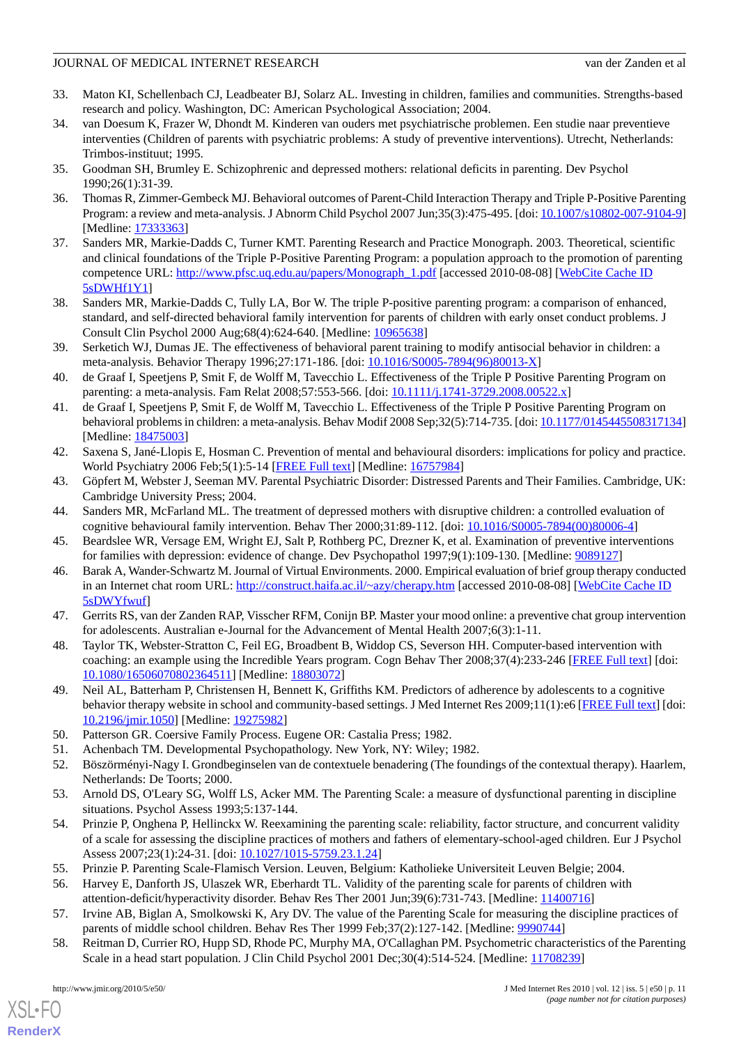- <span id="page-10-0"></span>33. Maton KI, Schellenbach CJ, Leadbeater BJ, Solarz AL. Investing in children, families and communities. Strengths-based research and policy. Washington, DC: American Psychological Association; 2004.
- <span id="page-10-1"></span>34. van Doesum K, Frazer W, Dhondt M. Kinderen van ouders met psychiatrische problemen. Een studie naar preventieve interventies (Children of parents with psychiatric problems: A study of preventive interventions). Utrecht, Netherlands: Trimbos-instituut; 1995.
- <span id="page-10-3"></span><span id="page-10-2"></span>35. Goodman SH, Brumley E. Schizophrenic and depressed mothers: relational deficits in parenting. Dev Psychol 1990;26(1):31-39.
- 36. Thomas R, Zimmer-Gembeck MJ. Behavioral outcomes of Parent-Child Interaction Therapy and Triple P-Positive Parenting Program: a review and meta-analysis. J Abnorm Child Psychol 2007 Jun;35(3):475-495. [doi: [10.1007/s10802-007-9104-9\]](http://dx.doi.org/10.1007/s10802-007-9104-9) [Medline: [17333363](http://www.ncbi.nlm.nih.gov/entrez/query.fcgi?cmd=Retrieve&db=PubMed&list_uids=17333363&dopt=Abstract)]
- 37. Sanders MR, Markie-Dadds C, Turner KMT. Parenting Research and Practice Monograph. 2003. Theoretical, scientific and clinical foundations of the Triple P-Positive Parenting Program: a population approach to the promotion of parenting competence URL: [http://www.pfsc.uq.edu.au/papers/Monograph\\_1.pdf](http://www.pfsc.uq.edu.au/papers/Monograph_1.pdf) [accessed 2010-08-08] [[WebCite Cache ID](http://www.webcitation.org/

                                                5sDWHf1Y1) [5sDWHf1Y1\]](http://www.webcitation.org/

                                                5sDWHf1Y1)
- 38. Sanders MR, Markie-Dadds C, Tully LA, Bor W. The triple P-positive parenting program: a comparison of enhanced, standard, and self-directed behavioral family intervention for parents of children with early onset conduct problems. J Consult Clin Psychol 2000 Aug;68(4):624-640. [Medline: [10965638](http://www.ncbi.nlm.nih.gov/entrez/query.fcgi?cmd=Retrieve&db=PubMed&list_uids=10965638&dopt=Abstract)]
- <span id="page-10-5"></span>39. Serketich WJ, Dumas JE. The effectiveness of behavioral parent training to modify antisocial behavior in children: a meta-analysis. Behavior Therapy 1996;27:171-186. [doi: [10.1016/S0005-7894\(96\)80013-X\]](http://dx.doi.org/10.1016/S0005-7894(96)80013-X)
- <span id="page-10-4"></span>40. de Graaf I, Speetjens P, Smit F, de Wolff M, Tavecchio L. Effectiveness of the Triple P Positive Parenting Program on parenting: a meta-analysis. Fam Relat 2008;57:553-566. [doi: [10.1111/j.1741-3729.2008.00522.x\]](http://dx.doi.org/10.1111/j.1741-3729.2008.00522.x)
- <span id="page-10-6"></span>41. de Graaf I, Speetjens P, Smit F, de Wolff M, Tavecchio L. Effectiveness of the Triple P Positive Parenting Program on behavioral problems in children: a meta-analysis. Behav Modif 2008 Sep;32(5):714-735. [doi: [10.1177/0145445508317134\]](http://dx.doi.org/10.1177/0145445508317134) [Medline: [18475003](http://www.ncbi.nlm.nih.gov/entrez/query.fcgi?cmd=Retrieve&db=PubMed&list_uids=18475003&dopt=Abstract)]
- <span id="page-10-8"></span><span id="page-10-7"></span>42. Saxena S, Jané-Llopis E, Hosman C. Prevention of mental and behavioural disorders: implications for policy and practice. World Psychiatry 2006 Feb;5(1):5-14 [\[FREE Full text\]](http://ukpmc.ac.uk/abstract/MED/16757984) [Medline: [16757984\]](http://www.ncbi.nlm.nih.gov/entrez/query.fcgi?cmd=Retrieve&db=PubMed&list_uids=16757984&dopt=Abstract)
- <span id="page-10-9"></span>43. Göpfert M, Webster J, Seeman MV. Parental Psychiatric Disorder: Distressed Parents and Their Families. Cambridge, UK: Cambridge University Press; 2004.
- <span id="page-10-10"></span>44. Sanders MR, McFarland ML. The treatment of depressed mothers with disruptive children: a controlled evaluation of cognitive behavioural family intervention. Behav Ther 2000;31:89-112. [doi: [10.1016/S0005-7894\(00\)80006-4\]](http://dx.doi.org/10.1016/S0005-7894(00)80006-4)
- <span id="page-10-11"></span>45. Beardslee WR, Versage EM, Wright EJ, Salt P, Rothberg PC, Drezner K, et al. Examination of preventive interventions for families with depression: evidence of change. Dev Psychopathol 1997;9(1):109-130. [Medline: [9089127](http://www.ncbi.nlm.nih.gov/entrez/query.fcgi?cmd=Retrieve&db=PubMed&list_uids=9089127&dopt=Abstract)]
- <span id="page-10-12"></span>46. Barak A, Wander-Schwartz M. Journal of Virtual Environments. 2000. Empirical evaluation of brief group therapy conducted in an Internet chat room URL:<http://construct.haifa.ac.il/~azy/cherapy.htm> [accessed 2010-08-08] [[WebCite Cache ID](http://www.webcitation.org/

                                                5sDWYfwuf) [5sDWYfwuf\]](http://www.webcitation.org/

                                                5sDWYfwuf)
- <span id="page-10-13"></span>47. Gerrits RS, van der Zanden RAP, Visscher RFM, Conijn BP. Master your mood online: a preventive chat group intervention for adolescents. Australian e-Journal for the Advancement of Mental Health 2007;6(3):1-11.
- <span id="page-10-14"></span>48. Taylor TK, Webster-Stratton C, Feil EG, Broadbent B, Widdop CS, Severson HH. Computer-based intervention with coaching: an example using the Incredible Years program. Cogn Behav Ther 2008;37(4):233-246 [[FREE Full text\]](http://ukpmc.ac.uk/abstract/MED/18803072) [doi: [10.1080/16506070802364511\]](http://dx.doi.org/10.1080/16506070802364511) [Medline: [18803072\]](http://www.ncbi.nlm.nih.gov/entrez/query.fcgi?cmd=Retrieve&db=PubMed&list_uids=18803072&dopt=Abstract)
- <span id="page-10-16"></span><span id="page-10-15"></span>49. Neil AL, Batterham P, Christensen H, Bennett K, Griffiths KM. Predictors of adherence by adolescents to a cognitive behavior therapy website in school and community-based settings. J Med Internet Res 2009;11(1):e6 [\[FREE Full text](http://www.jmir.org/2009/1/e6)] [doi: [10.2196/jmir.1050](http://dx.doi.org/10.2196/jmir.1050)] [Medline: [19275982](http://www.ncbi.nlm.nih.gov/entrez/query.fcgi?cmd=Retrieve&db=PubMed&list_uids=19275982&dopt=Abstract)]
- <span id="page-10-17"></span>50. Patterson GR. Coersive Family Process. Eugene OR: Castalia Press; 1982.
- <span id="page-10-20"></span>51. Achenbach TM. Developmental Psychopathology. New York, NY: Wiley; 1982.
- 52. Böszörményi-Nagy I. Grondbeginselen van de contextuele benadering (The foundings of the contextual therapy). Haarlem, Netherlands: De Toorts; 2000.
- <span id="page-10-19"></span><span id="page-10-18"></span>53. Arnold DS, O'Leary SG, Wolff LS, Acker MM. The Parenting Scale: a measure of dysfunctional parenting in discipline situations. Psychol Assess 1993;5:137-144.
- 54. Prinzie P, Onghena P, Hellinckx W. Reexamining the parenting scale: reliability, factor structure, and concurrent validity of a scale for assessing the discipline practices of mothers and fathers of elementary-school-aged children. Eur J Psychol Assess 2007;23(1):24-31. [doi: [10.1027/1015-5759.23.1.24](http://dx.doi.org/10.1027/1015-5759.23.1.24)]
- 55. Prinzie P. Parenting Scale-Flamisch Version. Leuven, Belgium: Katholieke Universiteit Leuven Belgie; 2004.
- 56. Harvey E, Danforth JS, Ulaszek WR, Eberhardt TL. Validity of the parenting scale for parents of children with attention-deficit/hyperactivity disorder. Behav Res Ther 2001 Jun;39(6):731-743. [Medline: [11400716\]](http://www.ncbi.nlm.nih.gov/entrez/query.fcgi?cmd=Retrieve&db=PubMed&list_uids=11400716&dopt=Abstract)
- 57. Irvine AB, Biglan A, Smolkowski K, Ary DV. The value of the Parenting Scale for measuring the discipline practices of parents of middle school children. Behav Res Ther 1999 Feb;37(2):127-142. [Medline: [9990744](http://www.ncbi.nlm.nih.gov/entrez/query.fcgi?cmd=Retrieve&db=PubMed&list_uids=9990744&dopt=Abstract)]
- 58. Reitman D, Currier RO, Hupp SD, Rhode PC, Murphy MA, O'Callaghan PM. Psychometric characteristics of the Parenting Scale in a head start population. J Clin Child Psychol 2001 Dec;30(4):514-524. [Medline: [11708239\]](http://www.ncbi.nlm.nih.gov/entrez/query.fcgi?cmd=Retrieve&db=PubMed&list_uids=11708239&dopt=Abstract)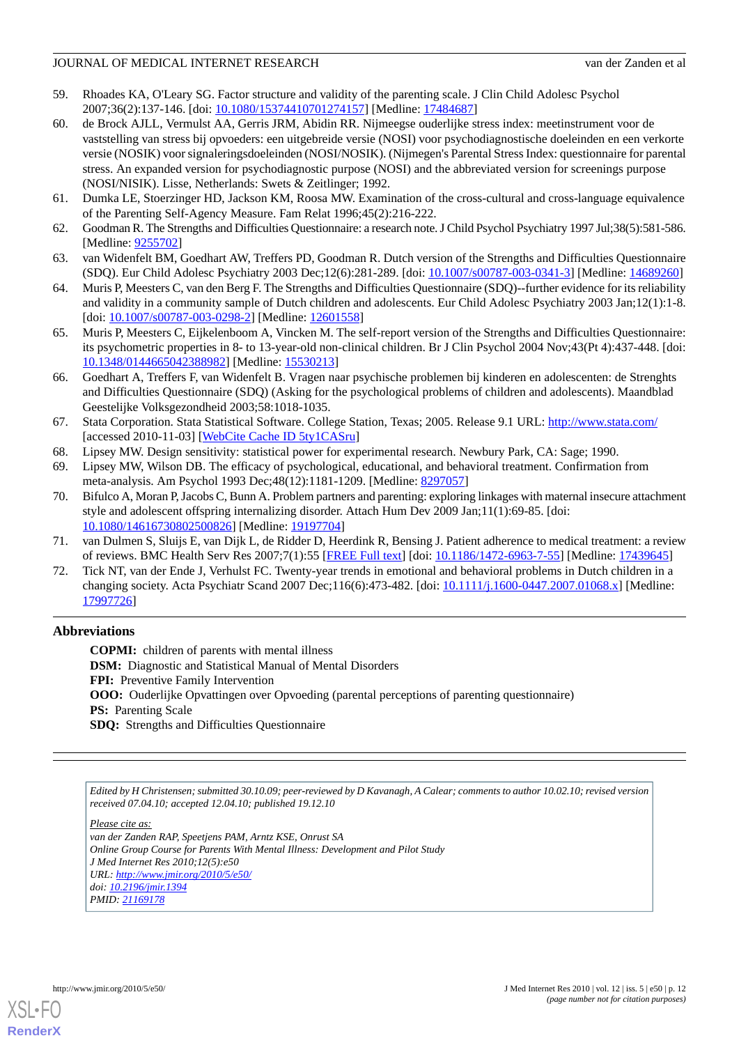- <span id="page-11-0"></span>59. Rhoades KA, O'Leary SG. Factor structure and validity of the parenting scale. J Clin Child Adolesc Psychol 2007;36(2):137-146. [doi: [10.1080/15374410701274157\]](http://dx.doi.org/10.1080/15374410701274157) [Medline: [17484687\]](http://www.ncbi.nlm.nih.gov/entrez/query.fcgi?cmd=Retrieve&db=PubMed&list_uids=17484687&dopt=Abstract)
- <span id="page-11-1"></span>60. de Brock AJLL, Vermulst AA, Gerris JRM, Abidin RR. Nijmeegse ouderlijke stress index: meetinstrument voor de vaststelling van stress bij opvoeders: een uitgebreide versie (NOSI) voor psychodiagnostische doeleinden en een verkorte versie (NOSIK) voor signaleringsdoeleinden (NOSI/NOSIK). (Nijmegen's Parental Stress Index: questionnaire for parental stress. An expanded version for psychodiagnostic purpose (NOSI) and the abbreviated version for screenings purpose (NOSI/NISIK). Lisse, Netherlands: Swets & Zeitlinger; 1992.
- <span id="page-11-3"></span><span id="page-11-2"></span>61. Dumka LE, Stoerzinger HD, Jackson KM, Roosa MW. Examination of the cross-cultural and cross-language equivalence of the Parenting Self-Agency Measure. Fam Relat 1996;45(2):216-222.
- 62. Goodman R. The Strengths and Difficulties Questionnaire: a research note. J Child Psychol Psychiatry 1997 Jul;38(5):581-586. [Medline: [9255702\]](http://www.ncbi.nlm.nih.gov/entrez/query.fcgi?cmd=Retrieve&db=PubMed&list_uids=9255702&dopt=Abstract)
- 63. van Widenfelt BM, Goedhart AW, Treffers PD, Goodman R. Dutch version of the Strengths and Difficulties Questionnaire (SDQ). Eur Child Adolesc Psychiatry 2003 Dec;12(6):281-289. [doi: [10.1007/s00787-003-0341-3\]](http://dx.doi.org/10.1007/s00787-003-0341-3) [Medline: [14689260](http://www.ncbi.nlm.nih.gov/entrez/query.fcgi?cmd=Retrieve&db=PubMed&list_uids=14689260&dopt=Abstract)]
- <span id="page-11-4"></span>64. Muris P, Meesters C, van den Berg F. The Strengths and Difficulties Questionnaire (SDQ)--further evidence for its reliability and validity in a community sample of Dutch children and adolescents. Eur Child Adolesc Psychiatry 2003 Jan;12(1):1-8. [doi: [10.1007/s00787-003-0298-2](http://dx.doi.org/10.1007/s00787-003-0298-2)] [Medline: [12601558\]](http://www.ncbi.nlm.nih.gov/entrez/query.fcgi?cmd=Retrieve&db=PubMed&list_uids=12601558&dopt=Abstract)
- <span id="page-11-5"></span>65. Muris P, Meesters C, Eijkelenboom A, Vincken M. The self-report version of the Strengths and Difficulties Questionnaire: its psychometric properties in 8- to 13-year-old non-clinical children. Br J Clin Psychol 2004 Nov;43(Pt 4):437-448. [doi: [10.1348/0144665042388982\]](http://dx.doi.org/10.1348/0144665042388982) [Medline: [15530213\]](http://www.ncbi.nlm.nih.gov/entrez/query.fcgi?cmd=Retrieve&db=PubMed&list_uids=15530213&dopt=Abstract)
- <span id="page-11-6"></span>66. Goedhart A, Treffers F, van Widenfelt B. Vragen naar psychische problemen bij kinderen en adolescenten: de Strenghts and Difficulties Questionnaire (SDQ) (Asking for the psychological problems of children and adolescents). Maandblad Geestelijke Volksgezondheid 2003;58:1018-1035.
- <span id="page-11-8"></span><span id="page-11-7"></span>67. Stata Corporation. Stata Statistical Software. College Station, Texas; 2005. Release 9.1 URL: <http://www.stata.com/> [accessed 2010-11-03] [\[WebCite Cache ID 5ty1CASru](http://www.webcitation.org/

                                                5ty1CASru)]
- <span id="page-11-9"></span>68. Lipsey MW. Design sensitivity: statistical power for experimental research. Newbury Park, CA: Sage; 1990.
- 69. Lipsey MW, Wilson DB. The efficacy of psychological, educational, and behavioral treatment. Confirmation from meta-analysis. Am Psychol 1993 Dec;48(12):1181-1209. [Medline: [8297057](http://www.ncbi.nlm.nih.gov/entrez/query.fcgi?cmd=Retrieve&db=PubMed&list_uids=8297057&dopt=Abstract)]
- <span id="page-11-11"></span><span id="page-11-10"></span>70. Bifulco A, Moran P, Jacobs C, Bunn A. Problem partners and parenting: exploring linkages with maternal insecure attachment style and adolescent offspring internalizing disorder. Attach Hum Dev 2009 Jan;11(1):69-85. [doi: [10.1080/14616730802500826\]](http://dx.doi.org/10.1080/14616730802500826) [Medline: [19197704\]](http://www.ncbi.nlm.nih.gov/entrez/query.fcgi?cmd=Retrieve&db=PubMed&list_uids=19197704&dopt=Abstract)
- 71. van Dulmen S, Sluijs E, van Dijk L, de Ridder D, Heerdink R, Bensing J. Patient adherence to medical treatment: a review of reviews. BMC Health Serv Res 2007;7(1):55 [\[FREE Full text\]](http://ukpmc.ac.uk/abstract/MED/17439645) [doi: [10.1186/1472-6963-7-55](http://dx.doi.org/10.1186/1472-6963-7-55)] [Medline: [17439645\]](http://www.ncbi.nlm.nih.gov/entrez/query.fcgi?cmd=Retrieve&db=PubMed&list_uids=17439645&dopt=Abstract)
- 72. Tick NT, van der Ende J, Verhulst FC. Twenty-year trends in emotional and behavioral problems in Dutch children in a changing society. Acta Psychiatr Scand 2007 Dec;116(6):473-482. [doi: [10.1111/j.1600-0447.2007.01068.x](http://dx.doi.org/10.1111/j.1600-0447.2007.01068.x)] [Medline: [17997726](http://www.ncbi.nlm.nih.gov/entrez/query.fcgi?cmd=Retrieve&db=PubMed&list_uids=17997726&dopt=Abstract)]

# **Abbreviations**

**COPMI:** children of parents with mental illness **DSM:** Diagnostic and Statistical Manual of Mental Disorders **FPI:** Preventive Family Intervention **OOO:** Ouderlijke Opvattingen over Opvoeding (parental perceptions of parenting questionnaire) **PS:** Parenting Scale **SDQ:** Strengths and Difficulties Questionnaire

*Edited by H Christensen; submitted 30.10.09; peer-reviewed by D Kavanagh, A Calear; comments to author 10.02.10; revised version received 07.04.10; accepted 12.04.10; published 19.12.10*

*Please cite as: van der Zanden RAP, Speetjens PAM, Arntz KSE, Onrust SA Online Group Course for Parents With Mental Illness: Development and Pilot Study J Med Internet Res 2010;12(5):e50 URL: <http://www.jmir.org/2010/5/e50/> doi: [10.2196/jmir.1394](http://dx.doi.org/10.2196/jmir.1394) PMID: [21169178](http://www.ncbi.nlm.nih.gov/entrez/query.fcgi?cmd=Retrieve&db=PubMed&list_uids=21169178&dopt=Abstract)*